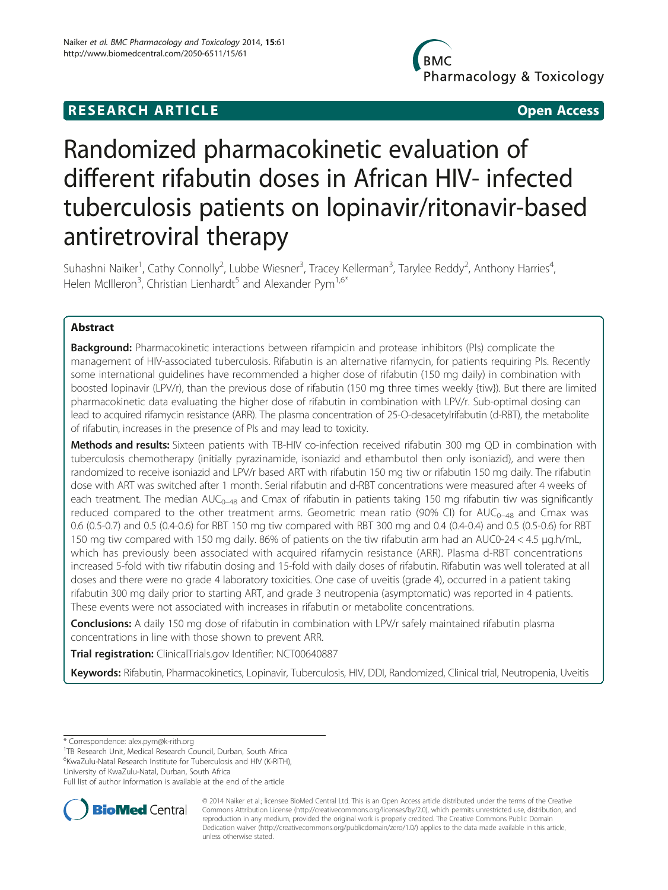## **RESEARCH ARTICLE CONSUMING A RESEARCH ARTICLE**

Pharmacology & Toxicology

# Randomized pharmacokinetic evaluation of different rifabutin doses in African HIV- infected tuberculosis patients on lopinavir/ritonavir-based antiretroviral therapy

Suhashni Naiker<sup>1</sup>, Cathy Connolly<sup>2</sup>, Lubbe Wiesner<sup>3</sup>, Tracey Kellerman<sup>3</sup>, Tarylee Reddy<sup>2</sup>, Anthony Harries<sup>4</sup> , Helen McIlleron $^3$ , Christian Lienhardt $^5$  and Alexander Pym $^{1,6^{\ast}}$ 

## Abstract

Background: Pharmacokinetic interactions between rifampicin and protease inhibitors (PIs) complicate the management of HIV-associated tuberculosis. Rifabutin is an alternative rifamycin, for patients requiring PIs. Recently some international guidelines have recommended a higher dose of rifabutin (150 mg daily) in combination with boosted lopinavir (LPV/r), than the previous dose of rifabutin (150 mg three times weekly {tiw}). But there are limited pharmacokinetic data evaluating the higher dose of rifabutin in combination with LPV/r. Sub-optimal dosing can lead to acquired rifamycin resistance (ARR). The plasma concentration of 25-O-desacetylrifabutin (d-RBT), the metabolite of rifabutin, increases in the presence of PIs and may lead to toxicity.

Methods and results: Sixteen patients with TB-HIV co-infection received rifabutin 300 mg QD in combination with tuberculosis chemotherapy (initially pyrazinamide, isoniazid and ethambutol then only isoniazid), and were then randomized to receive isoniazid and LPV/r based ART with rifabutin 150 mg tiw or rifabutin 150 mg daily. The rifabutin dose with ART was switched after 1 month. Serial rifabutin and d-RBT concentrations were measured after 4 weeks of each treatment. The median  $AUC_{0-48}$  and Cmax of rifabutin in patients taking 150 mg rifabutin tiw was significantly reduced compared to the other treatment arms. Geometric mean ratio (90% CI) for  $AUC_{0-48}$  and Cmax was 0.6 (0.5-0.7) and 0.5 (0.4-0.6) for RBT 150 mg tiw compared with RBT 300 mg and 0.4 (0.4-0.4) and 0.5 (0.5-0.6) for RBT 150 mg tiw compared with 150 mg daily. 86% of patients on the tiw rifabutin arm had an AUC0-24 < 4.5 μg.h/mL, which has previously been associated with acquired rifamycin resistance (ARR). Plasma d-RBT concentrations increased 5-fold with tiw rifabutin dosing and 15-fold with daily doses of rifabutin. Rifabutin was well tolerated at all doses and there were no grade 4 laboratory toxicities. One case of uveitis (grade 4), occurred in a patient taking rifabutin 300 mg daily prior to starting ART, and grade 3 neutropenia (asymptomatic) was reported in 4 patients. These events were not associated with increases in rifabutin or metabolite concentrations.

**Conclusions:** A daily 150 mg dose of rifabutin in combination with LPV/r safely maintained rifabutin plasma concentrations in line with those shown to prevent ARR.

Trial registration: ClinicalTrials.gov Identifier: [NCT00640887](https://clinicaltrials.gov/ct2/show/NCT00640887?term=NCT00640887&rank=1)

Keywords: Rifabutin, Pharmacokinetics, Lopinavir, Tuberculosis, HIV, DDI, Randomized, Clinical trial, Neutropenia, Uveitis

\* Correspondence: [alex.pym@k-rith.org](mailto:alex.pym@k-rith.org) <sup>1</sup>

<sup>1</sup>TB Research Unit, Medical Research Council, Durban, South Africa <sup>6</sup>KwaZulu-Natal Research Institute for Tuberculosis and HIV (K-RITH),

University of KwaZulu-Natal, Durban, South Africa

Full list of author information is available at the end of the article



<sup>© 2014</sup> Naiker et al.; licensee BioMed Central Ltd. This is an Open Access article distributed under the terms of the Creative Commons Attribution License [\(http://creativecommons.org/licenses/by/2.0\)](http://creativecommons.org/licenses/by/2.0), which permits unrestricted use, distribution, and reproduction in any medium, provided the original work is properly credited. The Creative Commons Public Domain Dedication waiver [\(http://creativecommons.org/publicdomain/zero/1.0/](http://creativecommons.org/publicdomain/zero/1.0/)) applies to the data made available in this article, unless otherwise stated.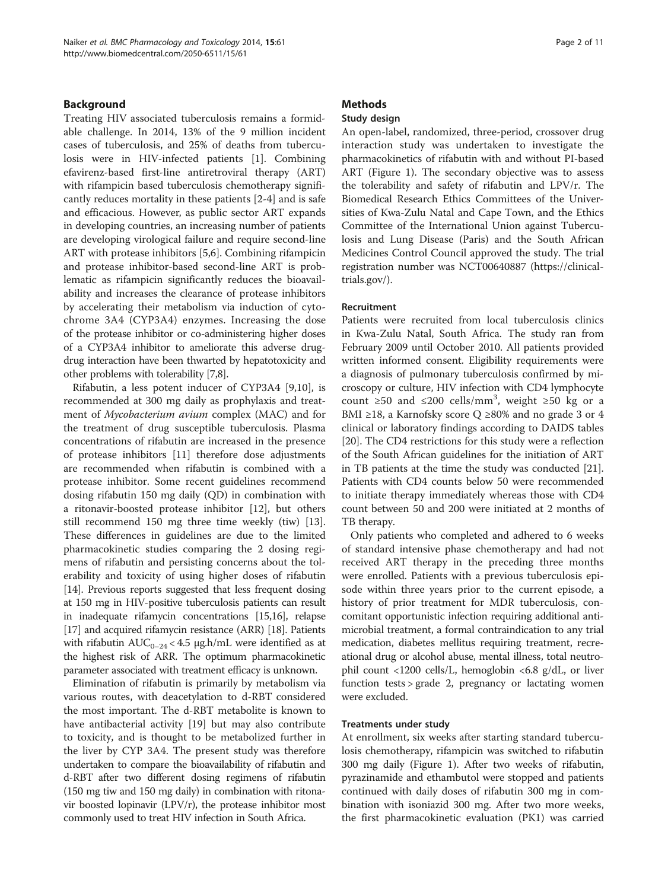## Background

Treating HIV associated tuberculosis remains a formidable challenge. In 2014, 13% of the 9 million incident cases of tuberculosis, and 25% of deaths from tuberculosis were in HIV-infected patients [\[1](#page-8-0)]. Combining efavirenz-based first-line antiretroviral therapy (ART) with rifampicin based tuberculosis chemotherapy significantly reduces mortality in these patients [\[2](#page-8-0)-[4\]](#page-8-0) and is safe and efficacious. However, as public sector ART expands in developing countries, an increasing number of patients are developing virological failure and require second-line ART with protease inhibitors [[5,6\]](#page-8-0). Combining rifampicin and protease inhibitor-based second-line ART is problematic as rifampicin significantly reduces the bioavailability and increases the clearance of protease inhibitors by accelerating their metabolism via induction of cytochrome 3A4 (CYP3A4) enzymes. Increasing the dose of the protease inhibitor or co-administering higher doses of a CYP3A4 inhibitor to ameliorate this adverse drugdrug interaction have been thwarted by hepatotoxicity and other problems with tolerability [\[7,8\]](#page-8-0).

Rifabutin, a less potent inducer of CYP3A4 [[9,10\]](#page-8-0), is recommended at 300 mg daily as prophylaxis and treatment of Mycobacterium avium complex (MAC) and for the treatment of drug susceptible tuberculosis. Plasma concentrations of rifabutin are increased in the presence of protease inhibitors [[11\]](#page-8-0) therefore dose adjustments are recommended when rifabutin is combined with a protease inhibitor. Some recent guidelines recommend dosing rifabutin 150 mg daily (QD) in combination with a ritonavir-boosted protease inhibitor [[12](#page-8-0)], but others still recommend 150 mg three time weekly (tiw) [\[13](#page-9-0)]. These differences in guidelines are due to the limited pharmacokinetic studies comparing the 2 dosing regimens of rifabutin and persisting concerns about the tolerability and toxicity of using higher doses of rifabutin [[14](#page-9-0)]. Previous reports suggested that less frequent dosing at 150 mg in HIV-positive tuberculosis patients can result in inadequate rifamycin concentrations [[15,16\]](#page-9-0), relapse [[17](#page-9-0)] and acquired rifamycin resistance (ARR) [[18](#page-9-0)]. Patients with rifabutin  $AUC_{0-24}$  < 4.5 µg.h/mL were identified as at the highest risk of ARR. The optimum pharmacokinetic parameter associated with treatment efficacy is unknown.

Elimination of rifabutin is primarily by metabolism via various routes, with deacetylation to d-RBT considered the most important. The d-RBT metabolite is known to have antibacterial activity [\[19\]](#page-9-0) but may also contribute to toxicity, and is thought to be metabolized further in the liver by CYP 3A4. The present study was therefore undertaken to compare the bioavailability of rifabutin and d-RBT after two different dosing regimens of rifabutin (150 mg tiw and 150 mg daily) in combination with ritonavir boosted lopinavir (LPV/r), the protease inhibitor most commonly used to treat HIV infection in South Africa.

## **Methods**

## Study design

An open-label, randomized, three-period, crossover drug interaction study was undertaken to investigate the pharmacokinetics of rifabutin with and without PI-based ART (Figure [1\)](#page-2-0). The secondary objective was to assess the tolerability and safety of rifabutin and LPV/r. The Biomedical Research Ethics Committees of the Universities of Kwa-Zulu Natal and Cape Town, and the Ethics Committee of the International Union against Tuberculosis and Lung Disease (Paris) and the South African Medicines Control Council approved the study. The trial registration number was [NCT00640887](http://www.clinicaltrials.gov/NCT00640887) [\(https://clinical](https://clinicaltrials.gov/)[trials.gov/\)](https://clinicaltrials.gov/).

#### Recruitment

Patients were recruited from local tuberculosis clinics in Kwa-Zulu Natal, South Africa. The study ran from February 2009 until October 2010. All patients provided written informed consent. Eligibility requirements were a diagnosis of pulmonary tuberculosis confirmed by microscopy or culture, HIV infection with CD4 lymphocyte count ≥50 and ≤200 cells/mm<sup>3</sup>, weight ≥50 kg or a BMI ≥18, a Karnofsky score Q ≥80% and no grade 3 or 4 clinical or laboratory findings according to DAIDS tables [[20\]](#page-9-0). The CD4 restrictions for this study were a reflection of the South African guidelines for the initiation of ART in TB patients at the time the study was conducted [\[21](#page-9-0)]. Patients with CD4 counts below 50 were recommended to initiate therapy immediately whereas those with CD4 count between 50 and 200 were initiated at 2 months of TB therapy.

Only patients who completed and adhered to 6 weeks of standard intensive phase chemotherapy and had not received ART therapy in the preceding three months were enrolled. Patients with a previous tuberculosis episode within three years prior to the current episode, a history of prior treatment for MDR tuberculosis, concomitant opportunistic infection requiring additional antimicrobial treatment, a formal contraindication to any trial medication, diabetes mellitus requiring treatment, recreational drug or alcohol abuse, mental illness, total neutrophil count <1200 cells/L, hemoglobin <6.8 g/dL, or liver function tests > grade 2, pregnancy or lactating women were excluded.

## Treatments under study

At enrollment, six weeks after starting standard tuberculosis chemotherapy, rifampicin was switched to rifabutin 300 mg daily (Figure [1](#page-2-0)). After two weeks of rifabutin, pyrazinamide and ethambutol were stopped and patients continued with daily doses of rifabutin 300 mg in combination with isoniazid 300 mg. After two more weeks, the first pharmacokinetic evaluation (PK1) was carried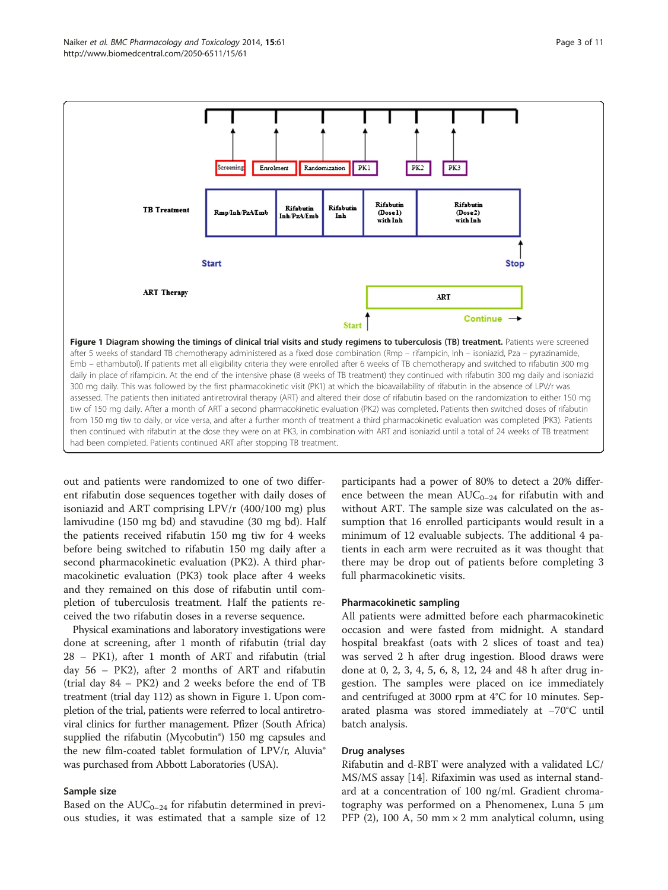<span id="page-2-0"></span>

out and patients were randomized to one of two different rifabutin dose sequences together with daily doses of isoniazid and ART comprising LPV/r (400/100 mg) plus lamivudine (150 mg bd) and stavudine (30 mg bd). Half the patients received rifabutin 150 mg tiw for 4 weeks before being switched to rifabutin 150 mg daily after a second pharmacokinetic evaluation (PK2). A third pharmacokinetic evaluation (PK3) took place after 4 weeks and they remained on this dose of rifabutin until completion of tuberculosis treatment. Half the patients received the two rifabutin doses in a reverse sequence.

Physical examinations and laboratory investigations were done at screening, after 1 month of rifabutin (trial day 28 – PK1), after 1 month of ART and rifabutin (trial day 56 – PK2), after 2 months of ART and rifabutin (trial day 84 – PK2) and 2 weeks before the end of TB treatment (trial day 112) as shown in Figure 1. Upon completion of the trial, patients were referred to local antiretroviral clinics for further management. Pfizer (South Africa) supplied the rifabutin (Mycobutin®) 150 mg capsules and the new film-coated tablet formulation of LPV/r, Aluvia® was purchased from Abbott Laboratories (USA).

#### Sample size

Based on the  $AUC_{0-24}$  for rifabutin determined in previous studies, it was estimated that a sample size of 12 participants had a power of 80% to detect a 20% difference between the mean  $AUC_{0-24}$  for rifabutin with and without ART. The sample size was calculated on the assumption that 16 enrolled participants would result in a minimum of 12 evaluable subjects. The additional 4 patients in each arm were recruited as it was thought that there may be drop out of patients before completing 3 full pharmacokinetic visits.

#### Pharmacokinetic sampling

All patients were admitted before each pharmacokinetic occasion and were fasted from midnight. A standard hospital breakfast (oats with 2 slices of toast and tea) was served 2 h after drug ingestion. Blood draws were done at 0, 2, 3, 4, 5, 6, 8, 12, 24 and 48 h after drug ingestion. The samples were placed on ice immediately and centrifuged at 3000 rpm at 4°C for 10 minutes. Separated plasma was stored immediately at −70°C until batch analysis.

#### Drug analyses

Rifabutin and d-RBT were analyzed with a validated LC/ MS/MS assay [[14](#page-9-0)]. Rifaximin was used as internal standard at a concentration of 100 ng/ml. Gradient chromatography was performed on a Phenomenex, Luna 5 μm PFP (2), 100 A, 50 mm  $\times$  2 mm analytical column, using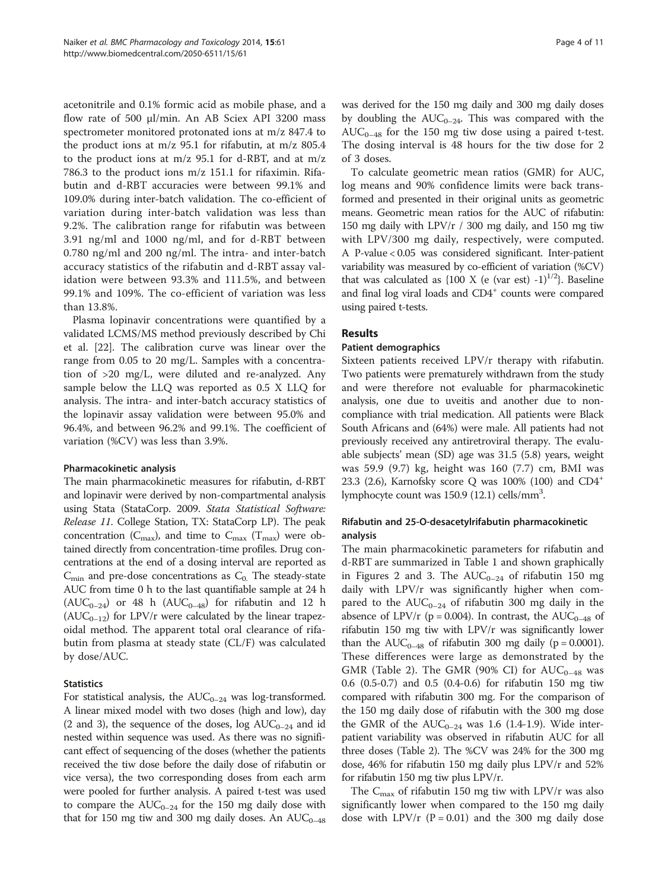acetonitrile and 0.1% formic acid as mobile phase, and a flow rate of 500 μl/min. An AB Sciex API 3200 mass spectrometer monitored protonated ions at m/z 847.4 to the product ions at m/z 95.1 for rifabutin, at m/z 805.4 to the product ions at m/z 95.1 for d-RBT, and at m/z 786.3 to the product ions m/z 151.1 for rifaximin. Rifabutin and d-RBT accuracies were between 99.1% and 109.0% during inter-batch validation. The co-efficient of variation during inter-batch validation was less than 9.2%. The calibration range for rifabutin was between 3.91 ng/ml and 1000 ng/ml, and for d-RBT between 0.780 ng/ml and 200 ng/ml. The intra- and inter-batch accuracy statistics of the rifabutin and d-RBT assay validation were between 93.3% and 111.5%, and between 99.1% and 109%. The co-efficient of variation was less than 13.8%.

Plasma lopinavir concentrations were quantified by a validated LCMS/MS method previously described by Chi et al. [\[22\]](#page-9-0). The calibration curve was linear over the range from 0.05 to 20 mg/L. Samples with a concentration of >20 mg/L, were diluted and re-analyzed. Any sample below the LLQ was reported as 0.5 X LLQ for analysis. The intra- and inter-batch accuracy statistics of the lopinavir assay validation were between 95.0% and 96.4%, and between 96.2% and 99.1%. The coefficient of variation (%CV) was less than 3.9%.

#### Pharmacokinetic analysis

The main pharmacokinetic measures for rifabutin, d-RBT and lopinavir were derived by non-compartmental analysis using Stata (StataCorp. 2009. Stata Statistical Software: Release 11. College Station, TX: StataCorp LP). The peak concentration ( $C_{\text{max}}$ ), and time to  $C_{\text{max}}$  ( $T_{\text{max}}$ ) were obtained directly from concentration-time profiles. Drug concentrations at the end of a dosing interval are reported as  $C_{\text{min}}$  and pre-dose concentrations as  $C_0$ . The steady-state AUC from time 0 h to the last quantifiable sample at 24 h  $(AUC_{0-24})$  or 48 h  $(AUC_{0-48})$  for rifabutin and 12 h  $(AUC_{0-12})$  for LPV/r were calculated by the linear trapezoidal method. The apparent total oral clearance of rifabutin from plasma at steady state (CL/F) was calculated by dose/AUC.

## Statistics

For statistical analysis, the  $AUC_{0-24}$  was log-transformed. A linear mixed model with two doses (high and low), day (2 and 3), the sequence of the doses, log  $AUC_{0-24}$  and id nested within sequence was used. As there was no significant effect of sequencing of the doses (whether the patients received the tiw dose before the daily dose of rifabutin or vice versa), the two corresponding doses from each arm were pooled for further analysis. A paired t-test was used to compare the  $AUC_{0-24}$  for the 150 mg daily dose with that for 150 mg tiw and 300 mg daily doses. An  $AUC_{0-48}$ 

was derived for the 150 mg daily and 300 mg daily doses by doubling the  $AUC_{0-24}$ . This was compared with the  $AUC_{0-48}$  for the 150 mg tiw dose using a paired t-test. The dosing interval is 48 hours for the tiw dose for 2 of 3 doses.

To calculate geometric mean ratios (GMR) for AUC, log means and 90% confidence limits were back transformed and presented in their original units as geometric means. Geometric mean ratios for the AUC of rifabutin: 150 mg daily with LPV/r / 300 mg daily, and 150 mg tiw with LPV/300 mg daily, respectively, were computed. A P-value < 0.05 was considered significant. Inter-patient variability was measured by co-efficient of variation (%CV) that was calculated as  $\{100 \text{ X (e (var est) -1)}^{1/2}\}\$ . Baseline and final log viral loads and CD4<sup>+</sup> counts were compared using paired t-tests.

## Results

## Patient demographics

Sixteen patients received LPV/r therapy with rifabutin. Two patients were prematurely withdrawn from the study and were therefore not evaluable for pharmacokinetic analysis, one due to uveitis and another due to noncompliance with trial medication. All patients were Black South Africans and (64%) were male. All patients had not previously received any antiretroviral therapy. The evaluable subjects' mean (SD) age was 31.5 (5.8) years, weight was 59.9 (9.7) kg, height was 160 (7.7) cm, BMI was 23.3 (2.6), Karnofsky score Q was 100% (100) and CD4+ lymphocyte count was 150.9 (12.1) cells/mm<sup>3</sup>.

## Rifabutin and 25-O-desacetylrifabutin pharmacokinetic analysis

The main pharmacokinetic parameters for rifabutin and d-RBT are summarized in Table [1](#page-4-0) and shown graphically in Figures [2](#page-5-0) and [3.](#page-5-0) The  $AUC_{0-24}$  of rifabutin 150 mg daily with LPV/r was significantly higher when compared to the  $AUC_{0-24}$  of rifabutin 300 mg daily in the absence of LPV/r (p = 0.004). In contrast, the  $AUC_{0-48}$  of rifabutin 150 mg tiw with LPV/r was significantly lower than the  $AUC_{0-48}$  of rifabutin 300 mg daily (p = 0.0001). These differences were large as demonstrated by the GMR (Table [2\)](#page-6-0). The GMR (90% CI) for  $AUC_{0-48}$  was 0.6 (0.5-0.7) and 0.5 (0.4-0.6) for rifabutin 150 mg tiw compared with rifabutin 300 mg. For the comparison of the 150 mg daily dose of rifabutin with the 300 mg dose the GMR of the  $AUC_{0-24}$  was 1.6 (1.4-1.9). Wide interpatient variability was observed in rifabutin AUC for all three doses (Table [2](#page-6-0)). The %CV was 24% for the 300 mg dose, 46% for rifabutin 150 mg daily plus LPV/r and 52% for rifabutin 150 mg tiw plus LPV/r.

The  $C_{\text{max}}$  of rifabutin 150 mg tiw with LPV/r was also significantly lower when compared to the 150 mg daily dose with LPV/r ( $P = 0.01$ ) and the 300 mg daily dose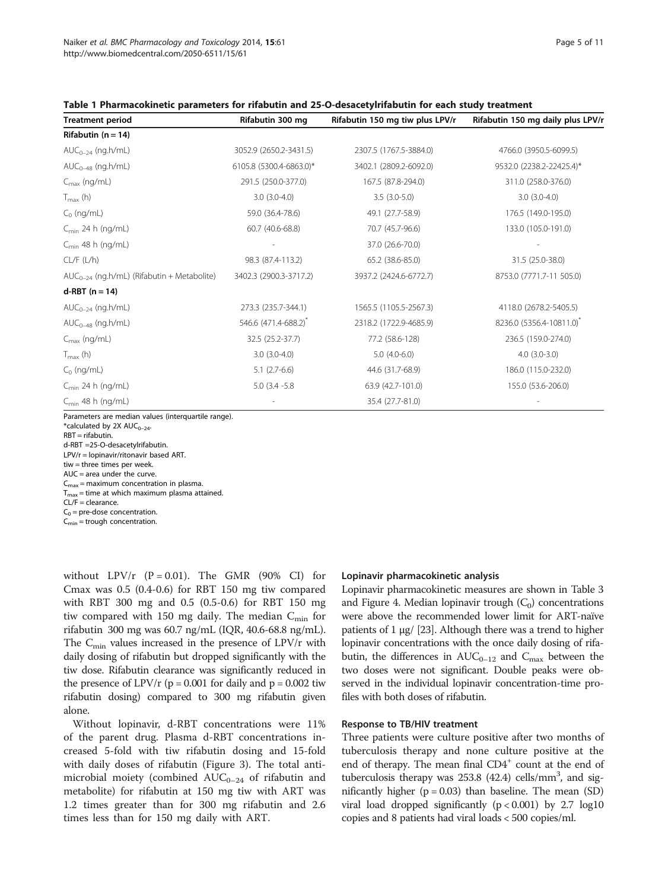<span id="page-4-0"></span>

| Table 1 Pharmacokinetic parameters for rifabutin and 25-O-desacetylrifabutin for each study treatment |  |  |
|-------------------------------------------------------------------------------------------------------|--|--|
|-------------------------------------------------------------------------------------------------------|--|--|

| <b>Treatment period</b>                                | Rifabutin 300 mg                 | Rifabutin 150 mg tiw plus LPV/r | Rifabutin 150 mg daily plus LPV/r |
|--------------------------------------------------------|----------------------------------|---------------------------------|-----------------------------------|
| Rifabutin ( $n = 14$ )                                 |                                  |                                 |                                   |
| $AUC_{0-24}$ (ng.h/mL)                                 | 3052.9 (2650.2-3431.5)           | 2307.5 (1767.5-3884.0)          | 4766.0 (3950.5-6099.5)            |
| $AUC_{0-48}$ (ng.h/mL)                                 | 6105.8 (5300.4-6863.0)*          | 3402.1 (2809.2-6092.0)          | 9532.0 (2238.2-22425.4)*          |
| $C_{\text{max}}$ (ng/mL)                               | 291.5 (250.0-377.0)              | 167.5 (87.8-294.0)              | 311.0 (258.0-376.0)               |
| $T_{\text{max}}$ (h)                                   | $3.0(3.0-4.0)$                   | $3.5(3.0-5.0)$                  | $3.0(3.0-4.0)$                    |
| $C_0$ (ng/mL)                                          | 59.0 (36.4-78.6)                 | 49.1 (27.7-58.9)                | 176.5 (149.0-195.0)               |
| $C_{\text{min}}$ 24 h (ng/mL)                          | 60.7 (40.6-68.8)                 | 70.7 (45.7-96.6)                | 133.0 (105.0-191.0)               |
| $C_{\text{min}}$ 48 h (ng/mL)                          |                                  | 37.0 (26.6-70.0)                |                                   |
| CL/F (L/h)                                             | 98.3 (87.4-113.2)                | 65.2 (38.6-85.0)                | 31.5 (25.0-38.0)                  |
| AUC <sub>0-24</sub> (ng.h/mL) (Rifabutin + Metabolite) | 3402.3 (2900.3-3717.2)           | 3937.2 (2424.6-6772.7)          | 8753.0 (7771.7-11 505.0)          |
| $d-RBT$ (n = 14)                                       |                                  |                                 |                                   |
| $AUC_{0-24}$ (ng.h/mL)                                 | 273.3 (235.7-344.1)              | 1565.5 (1105.5-2567.3)          | 4118.0 (2678.2-5405.5)            |
| $AUC_{0-48}$ (ng.h/mL)                                 | 546.6 (471.4-688.2) <sup>*</sup> | 2318.2 (1722.9-4685.9)          | 8236.0 (5356.4-10811.0)           |
| $C_{\text{max}}$ (ng/mL)                               | 32.5 (25.2-37.7)                 | 77.2 (58.6-128)                 | 236.5 (159.0-274.0)               |
| $T_{\text{max}}$ (h)                                   | $3.0(3.0-4.0)$                   | $5.0(4.0-6.0)$                  | $4.0$ $(3.0-3.0)$                 |
| $C_0$ (ng/mL)                                          | $5.1(2.7-6.6)$                   | 44.6 (31.7-68.9)                | 186.0 (115.0-232.0)               |
| $C_{\text{min}}$ 24 h (ng/mL)                          | $5.0(3.4 - 5.8)$                 | 63.9 (42.7-101.0)               | 155.0 (53.6-206.0)                |
| $C_{\text{min}}$ 48 h (ng/mL)                          |                                  | 35.4 (27.7-81.0)                |                                   |

Parameters are median values (interquartile range).

 $*$ calculated by 2X AUC<sub>0-24</sub>.

RBT = rifabutin.

d-RBT =25-O-desacetylrifabutin.

LPV/r = lopinavir/ritonavir based ART.

tiw = three times per week.

 $AUC = area$  under the curve.

 $C_{\text{max}}$  = maximum concentration in plasma.

 $T_{\text{max}}$  = time at which maximum plasma attained.

 $CI/F = clearance$ 

 $C_0$  = pre-dose concentration.

 $C_{\text{min}}$  = trough concentration.

without  $LPV/r$  (P = 0.01). The GMR (90% CI) for Cmax was 0.5 (0.4-0.6) for RBT 150 mg tiw compared with RBT 300 mg and 0.5 (0.5-0.6) for RBT 150 mg tiw compared with 150 mg daily. The median  $C_{\text{min}}$  for rifabutin 300 mg was 60.7 ng/mL (IQR, 40.6-68.8 ng/mL). The  $C_{\text{min}}$  values increased in the presence of LPV/r with daily dosing of rifabutin but dropped significantly with the tiw dose. Rifabutin clearance was significantly reduced in the presence of LPV/r ( $p = 0.001$  for daily and  $p = 0.002$  tiw rifabutin dosing) compared to 300 mg rifabutin given alone.

Without lopinavir, d-RBT concentrations were 11% of the parent drug. Plasma d-RBT concentrations increased 5-fold with tiw rifabutin dosing and 15-fold with daily doses of rifabutin (Figure [3\)](#page-5-0). The total antimicrobial moiety (combined  $AUC_{0-24}$  of rifabutin and metabolite) for rifabutin at 150 mg tiw with ART was 1.2 times greater than for 300 mg rifabutin and 2.6 times less than for 150 mg daily with ART.

#### Lopinavir pharmacokinetic analysis

Lopinavir pharmacokinetic measures are shown in Table [3](#page-6-0) and Figure [4](#page-7-0). Median lopinavir trough  $(C_0)$  concentrations were above the recommended lower limit for ART-naïve patients of 1 μg/ [\[23](#page-9-0)]. Although there was a trend to higher lopinavir concentrations with the once daily dosing of rifabutin, the differences in  $AUC_{0-12}$  and  $C_{\text{max}}$  between the two doses were not significant. Double peaks were observed in the individual lopinavir concentration-time profiles with both doses of rifabutin.

## Response to TB/HIV treatment

Three patients were culture positive after two months of tuberculosis therapy and none culture positive at the end of therapy. The mean final CD4<sup>+</sup> count at the end of tuberculosis therapy was 253.8 (42.4) cells/mm<sup>3</sup>, and significantly higher ( $p = 0.03$ ) than baseline. The mean (SD) viral load dropped significantly  $(p < 0.001)$  by 2.7 log10 copies and 8 patients had viral loads < 500 copies/ml.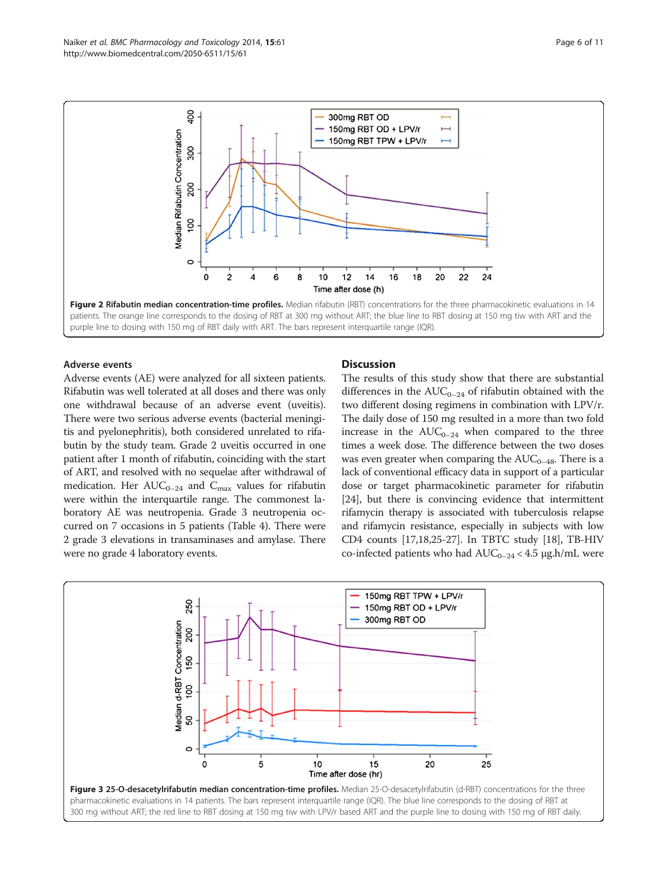

<span id="page-5-0"></span>

#### Adverse events

Adverse events (AE) were analyzed for all sixteen patients. Rifabutin was well tolerated at all doses and there was only one withdrawal because of an adverse event (uveitis). There were two serious adverse events (bacterial meningitis and pyelonephritis), both considered unrelated to rifabutin by the study team. Grade 2 uveitis occurred in one patient after 1 month of rifabutin, coinciding with the start of ART, and resolved with no sequelae after withdrawal of medication. Her  $AUC_{0-24}$  and  $C_{\text{max}}$  values for rifabutin were within the interquartile range. The commonest laboratory AE was neutropenia. Grade 3 neutropenia occurred on 7 occasions in 5 patients (Table [4](#page-7-0)). There were 2 grade 3 elevations in transaminases and amylase. There were no grade 4 laboratory events.

### **Discussion**

The results of this study show that there are substantial differences in the  $AUC_{0-24}$  of rifabutin obtained with the two different dosing regimens in combination with LPV/r. The daily dose of 150 mg resulted in a more than two fold increase in the  $AUC_{0-24}$  when compared to the three times a week dose. The difference between the two doses was even greater when comparing the  $AUC_{0-48}$ . There is a lack of conventional efficacy data in support of a particular dose or target pharmacokinetic parameter for rifabutin [[24](#page-9-0)], but there is convincing evidence that intermittent rifamycin therapy is associated with tuberculosis relapse and rifamycin resistance, especially in subjects with low CD4 counts [\[17,18,25](#page-9-0)-[27](#page-9-0)]. In TBTC study [\[18\]](#page-9-0), TB-HIV co-infected patients who had  $AUC_{0-24}$  < 4.5 µg.h/mL were

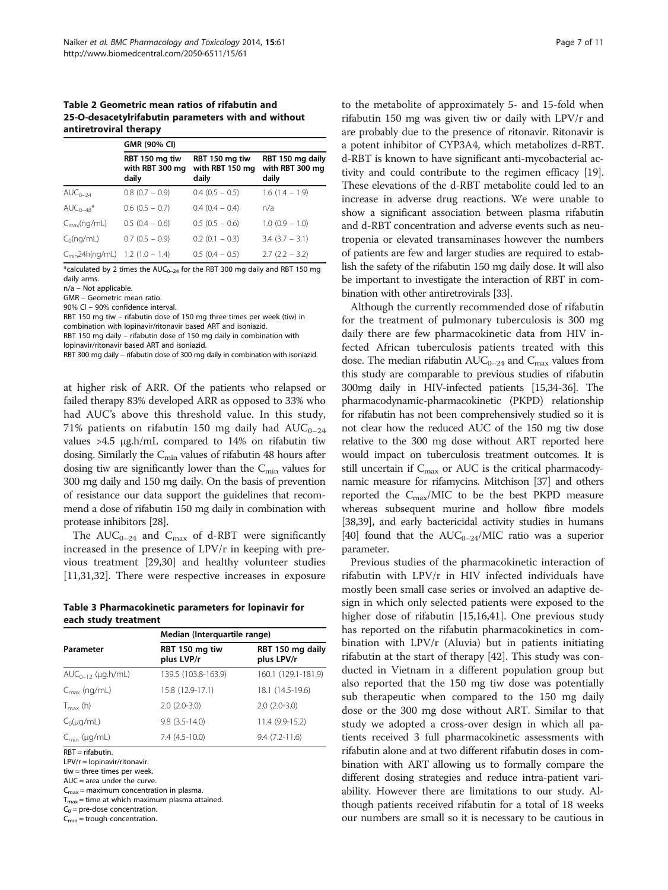### <span id="page-6-0"></span>Table 2 Geometric mean ratios of rifabutin and 25-O-desacetylrifabutin parameters with and without antiretroviral therapy

|                                             | GMR (90% CI)                               |                                            |                                              |  |
|---------------------------------------------|--------------------------------------------|--------------------------------------------|----------------------------------------------|--|
|                                             | RBT 150 mg tiw<br>with RBT 300 mg<br>daily | RBT 150 mg tiw<br>with RBT 150 mg<br>daily | RBT 150 mg daily<br>with RBT 300 mg<br>daily |  |
| $AUC_{0-24}$                                | $0.8$ (0.7 - 0.9)                          | $0.4(0.5 - 0.5)$                           | $1.6(1.4 - 1.9)$                             |  |
| $AUC_{0-48}^*$                              | $0.6$ (0.5 $-$ 0.7)                        | $0.4(0.4-0.4)$                             | n/a                                          |  |
| $C_{\text{max}}(nq/mL)$                     | $0.5(0.4 - 0.6)$                           | $0.5(0.5 - 0.6)$                           | $1.0(0.9 - 1.0)$                             |  |
| $C_0(nq/mL)$                                | $0.7$ (0.5 - 0.9)                          | $0.2$ (0.1 $-$ 0.3)                        | $3.4$ ( $3.7 - 3.1$ )                        |  |
| $C_{\text{min}}$ 24h(ng/mL) 1.2 (1.0 – 1.4) |                                            | $0.5(0.4 - 0.5)$                           | $2.7(2.2 - 3.2)$                             |  |

\*calculated by 2 times the  $AUC_{0-24}$  for the RBT 300 mg daily and RBT 150 mg daily arms.

n/a – Not applicable.

GMR – Geometric mean ratio.

90% Cl – 90% confidence interval.

RBT 150 mg tiw – rifabutin dose of 150 mg three times per week (tiw) in combination with lopinavir/ritonavir based ART and isoniazid.

RBT 150 mg daily – rifabutin dose of 150 mg daily in combination with

lopinavir/ritonavir based ART and isoniazid.

RBT 300 mg daily – rifabutin dose of 300 mg daily in combination with isoniazid.

at higher risk of ARR. Of the patients who relapsed or failed therapy 83% developed ARR as opposed to 33% who had AUC's above this threshold value. In this study, 71% patients on rifabutin 150 mg daily had  $AUC_{0-24}$ values >4.5 μg.h/mL compared to 14% on rifabutin tiw dosing. Similarly the  $C_{\text{min}}$  values of rifabutin 48 hours after dosing tiw are significantly lower than the  $C_{\text{min}}$  values for 300 mg daily and 150 mg daily. On the basis of prevention of resistance our data support the guidelines that recommend a dose of rifabutin 150 mg daily in combination with protease inhibitors [[28](#page-9-0)].

The  $AUC_{0-24}$  and  $C_{\text{max}}$  of d-RBT were significantly increased in the presence of LPV/r in keeping with previous treatment [\[29,30\]](#page-9-0) and healthy volunteer studies [[11,](#page-8-0)[31,32\]](#page-9-0). There were respective increases in exposure

| Table 3 Pharmacokinetic parameters for lopinavir for |  |
|------------------------------------------------------|--|
| each study treatment                                 |  |

|                          | Median (Interquartile range) |                                |  |  |
|--------------------------|------------------------------|--------------------------------|--|--|
| Parameter                | RBT 150 mg tiw<br>plus LVP/r | RBT 150 mg daily<br>plus LPV/r |  |  |
| $AUC_{0-12}$ (µg.h/mL)   | 139.5 (103.8-163.9)          | 160.1 (129.1-181.9)            |  |  |
| $C_{\text{max}}$ (ng/mL) | 15.8 (12.9-17.1)             | 18.1 (14.5-19.6)               |  |  |
| $T_{\text{max}}$ (h)     | $2.0(2.0-3.0)$               | $2.0(2.0-3.0)$                 |  |  |
| $C_0(\mu q/mL)$          | $9.8$ $(3.5 - 14.0)$         | 11.4 (9.9-15.2)                |  |  |
| $C_{\text{min}}$ (µg/mL) | $7.4(4.5-10.0)$              | $9.4(7.2 - 11.6)$              |  |  |

RBT = rifabutin.

LPV/r = lopinavir/ritonavir.

tiw = three times per week.

 $AUC = area$  under the curve.

 $C_{\text{max}}$  = maximum concentration in plasma.

 $T_{\text{max}}$  = time at which maximum plasma attained.

 $C_0$  = pre-dose concentration.

 $C_{\text{min}}$  = trough concentration.

to the metabolite of approximately 5- and 15-fold when rifabutin 150 mg was given tiw or daily with LPV/r and are probably due to the presence of ritonavir. Ritonavir is a potent inhibitor of CYP3A4, which metabolizes d-RBT. d-RBT is known to have significant anti-mycobacterial activity and could contribute to the regimen efficacy [[19](#page-9-0)]. These elevations of the d-RBT metabolite could led to an increase in adverse drug reactions. We were unable to show a significant association between plasma rifabutin and d-RBT concentration and adverse events such as neutropenia or elevated transaminases however the numbers of patients are few and larger studies are required to establish the safety of the rifabutin 150 mg daily dose. It will also be important to investigate the interaction of RBT in combination with other antiretrovirals [[33](#page-9-0)].

Although the currently recommended dose of rifabutin for the treatment of pulmonary tuberculosis is 300 mg daily there are few pharmacokinetic data from HIV infected African tuberculosis patients treated with this dose. The median rifabutin  $AUC_{0-24}$  and  $C_{\text{max}}$  values from this study are comparable to previous studies of rifabutin 300mg daily in HIV-infected patients [\[15](#page-9-0),[34-36\]](#page-9-0). The pharmacodynamic-pharmacokinetic (PKPD) relationship for rifabutin has not been comprehensively studied so it is not clear how the reduced AUC of the 150 mg tiw dose relative to the 300 mg dose without ART reported here would impact on tuberculosis treatment outcomes. It is still uncertain if  $C_{\text{max}}$  or AUC is the critical pharmacodynamic measure for rifamycins. Mitchison [\[37](#page-9-0)] and others reported the  $C_{\text{max}}/MIC$  to be the best PKPD measure whereas subsequent murine and hollow fibre models [[38,39\]](#page-9-0), and early bactericidal activity studies in humans [[40](#page-9-0)] found that the  $AUC_{0-24}/MIC$  ratio was a superior parameter.

Previous studies of the pharmacokinetic interaction of rifabutin with LPV/r in HIV infected individuals have mostly been small case series or involved an adaptive design in which only selected patients were exposed to the higher dose of rifabutin [[15](#page-9-0),[16](#page-9-0),[41](#page-9-0)]. One previous study has reported on the rifabutin pharmacokinetics in combination with LPV/r (Aluvia) but in patients initiating rifabutin at the start of therapy [[42\]](#page-9-0). This study was conducted in Vietnam in a different population group but also reported that the 150 mg tiw dose was potentially sub therapeutic when compared to the 150 mg daily dose or the 300 mg dose without ART. Similar to that study we adopted a cross-over design in which all patients received 3 full pharmacokinetic assessments with rifabutin alone and at two different rifabutin doses in combination with ART allowing us to formally compare the different dosing strategies and reduce intra-patient variability. However there are limitations to our study. Although patients received rifabutin for a total of 18 weeks our numbers are small so it is necessary to be cautious in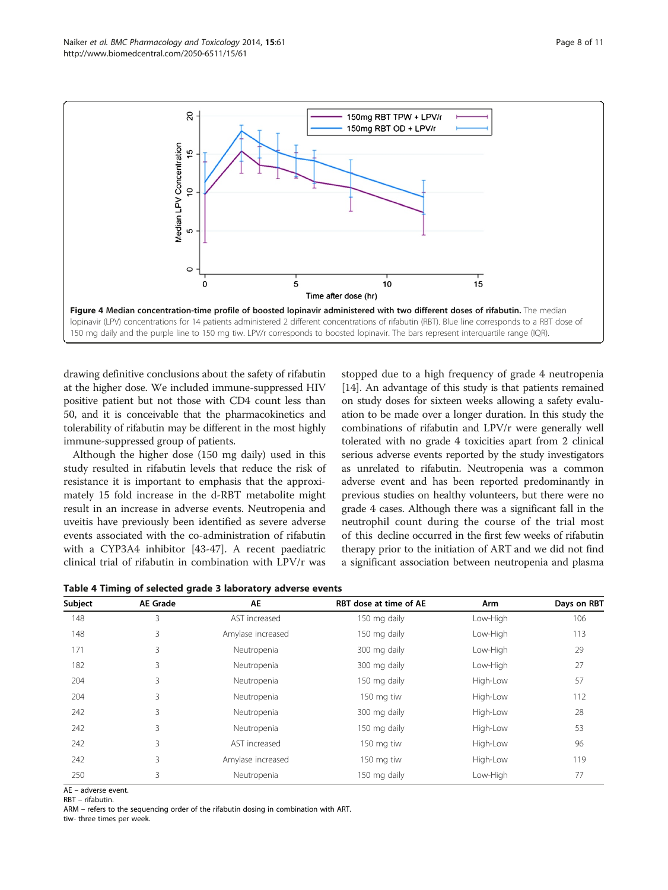<span id="page-7-0"></span>

drawing definitive conclusions about the safety of rifabutin at the higher dose. We included immune-suppressed HIV positive patient but not those with CD4 count less than 50, and it is conceivable that the pharmacokinetics and tolerability of rifabutin may be different in the most highly immune-suppressed group of patients.

Although the higher dose (150 mg daily) used in this study resulted in rifabutin levels that reduce the risk of resistance it is important to emphasis that the approximately 15 fold increase in the d-RBT metabolite might result in an increase in adverse events. Neutropenia and uveitis have previously been identified as severe adverse events associated with the co-administration of rifabutin with a CYP3A4 inhibitor [[43-47](#page-9-0)]. A recent paediatric clinical trial of rifabutin in combination with LPV/r was

stopped due to a high frequency of grade 4 neutropenia [[14](#page-9-0)]. An advantage of this study is that patients remained on study doses for sixteen weeks allowing a safety evaluation to be made over a longer duration. In this study the combinations of rifabutin and LPV/r were generally well tolerated with no grade 4 toxicities apart from 2 clinical serious adverse events reported by the study investigators as unrelated to rifabutin. Neutropenia was a common adverse event and has been reported predominantly in previous studies on healthy volunteers, but there were no grade 4 cases. Although there was a significant fall in the neutrophil count during the course of the trial most of this decline occurred in the first few weeks of rifabutin therapy prior to the initiation of ART and we did not find a significant association between neutropenia and plasma

Table 4 Timing of selected grade 3 laboratory adverse events

| <b>Subject</b> | <b>AE Grade</b> | AE                | RBT dose at time of AE | Arm      | Days on RBT |
|----------------|-----------------|-------------------|------------------------|----------|-------------|
| 148            | 3               | AST increased     | 150 mg daily           | Low-High | 106         |
| 148            | 3               | Amylase increased | 150 mg daily           | Low-High | 113         |
| 171            | 3               | Neutropenia       | 300 mg daily           | Low-High | 29          |
| 182            | 3               | Neutropenia       | 300 mg daily           | Low-High | 27          |
| 204            | 3               | Neutropenia       | 150 mg daily           | High-Low | 57          |
| 204            | 3               | Neutropenia       | 150 mg tiw             | High-Low | 112         |
| 242            | 3               | Neutropenia       | 300 mg daily           | High-Low | 28          |
| 242            | 3               | Neutropenia       | 150 mg daily           | High-Low | 53          |
| 242            | 3               | AST increased     | 150 mg tiw             | High-Low | 96          |
| 242            | 3               | Amylase increased | 150 mg tiw             | High-Low | 119         |
| 250            | 3               | Neutropenia       | 150 mg daily           | Low-High | 77          |

AE – adverse event.

RBT – rifabutin.

ARM – refers to the sequencing order of the rifabutin dosing in combination with ART. tiw- three times per week.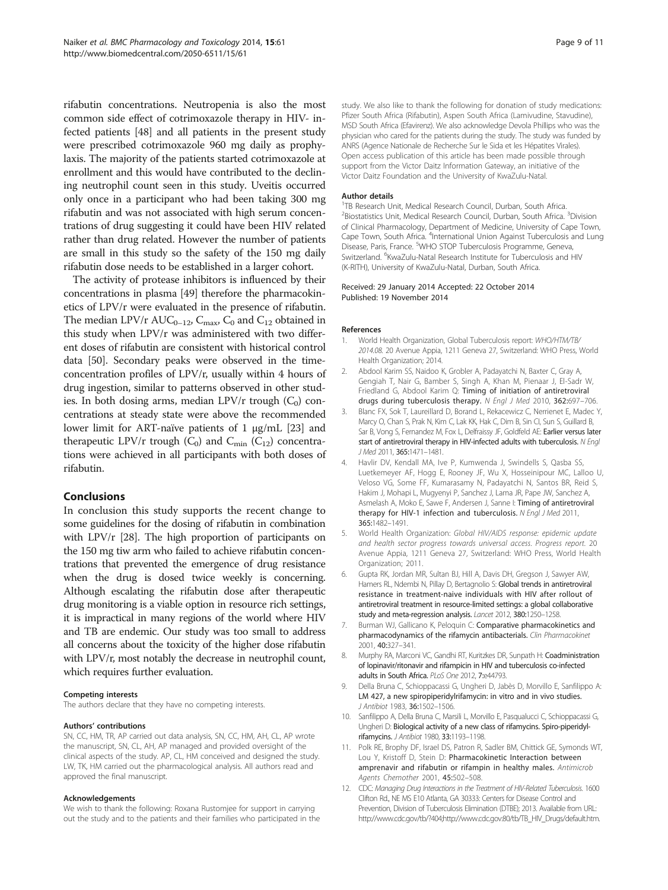<span id="page-8-0"></span>rifabutin concentrations. Neutropenia is also the most common side effect of cotrimoxazole therapy in HIV- infected patients [\[48\]](#page-9-0) and all patients in the present study were prescribed cotrimoxazole 960 mg daily as prophylaxis. The majority of the patients started cotrimoxazole at enrollment and this would have contributed to the declining neutrophil count seen in this study. Uveitis occurred only once in a participant who had been taking 300 mg rifabutin and was not associated with high serum concentrations of drug suggesting it could have been HIV related rather than drug related. However the number of patients are small in this study so the safety of the 150 mg daily rifabutin dose needs to be established in a larger cohort.

The activity of protease inhibitors is influenced by their concentrations in plasma [[49](#page-9-0)] therefore the pharmacokinetics of LPV/r were evaluated in the presence of rifabutin. The median LPV/r  $AUC_{0-12}$ ,  $C_{\text{max}}$ ,  $C_0$  and  $C_{12}$  obtained in this study when LPV/r was administered with two different doses of rifabutin are consistent with historical control data [\[50](#page-10-0)]. Secondary peaks were observed in the timeconcentration profiles of LPV/r, usually within 4 hours of drug ingestion, similar to patterns observed in other studies. In both dosing arms, median LPV/r trough  $(C_0)$  concentrations at steady state were above the recommended lower limit for ART-naïve patients of 1 μg/mL [[23](#page-9-0)] and therapeutic LPV/r trough  $(C_0)$  and  $C_{\text{min}}$   $(C_{12})$  concentrations were achieved in all participants with both doses of rifabutin.

#### Conclusions

In conclusion this study supports the recent change to some guidelines for the dosing of rifabutin in combination with LPV/r [\[28\]](#page-9-0). The high proportion of participants on the 150 mg tiw arm who failed to achieve rifabutin concentrations that prevented the emergence of drug resistance when the drug is dosed twice weekly is concerning. Although escalating the rifabutin dose after therapeutic drug monitoring is a viable option in resource rich settings, it is impractical in many regions of the world where HIV and TB are endemic. Our study was too small to address all concerns about the toxicity of the higher dose rifabutin with LPV/r, most notably the decrease in neutrophil count, which requires further evaluation.

#### Competing interests

The authors declare that they have no competing interests.

#### Authors' contributions

SN, CC, HM, TR, AP carried out data analysis, SN, CC, HM, AH, CL, AP wrote the manuscript, SN, CL, AH, AP managed and provided oversight of the clinical aspects of the study. AP, CL, HM conceived and designed the study. LW, TK, HM carried out the pharmacological analysis. All authors read and approved the final manuscript.

#### Acknowledgements

We wish to thank the following: Roxana Rustomjee for support in carrying out the study and to the patients and their families who participated in the

study. We also like to thank the following for donation of study medications: Pfizer South Africa (Rifabutin), Aspen South Africa (Lamivudine, Stavudine), MSD South Africa (Efavirenz). We also acknowledge Devola Phillips who was the physician who cared for the patients during the study. The study was funded by ANRS (Agence Nationale de Recherche Sur le Sida et les Hépatites Virales). Open access publication of this article has been made possible through support from the Victor Daitz Information Gateway, an initiative of the Victor Daitz Foundation and the University of KwaZulu-Natal.

#### Author details

<sup>1</sup>TB Research Unit, Medical Research Council, Durban, South Africa. <sup>2</sup> Biostatistics Unit, Medical Research Council, Durban, South Africa. <sup>3</sup> Division of Clinical Pharmacology, Department of Medicine, University of Cape Town, Cape Town, South Africa. <sup>4</sup>International Union Against Tuberculosis and Lung Disease, Paris, France. <sup>5</sup>WHO STOP Tuberculosis Programme, Geneva, Switzerland. <sup>6</sup> KwaZulu-Natal Research Institute for Tuberculosis and HIV (K-RITH), University of KwaZulu-Natal, Durban, South Africa.

#### Received: 29 January 2014 Accepted: 22 October 2014 Published: 19 November 2014

#### References

- 1. World Health Organization, Global Tuberculosis report: WHO/HTM/TB/ 2014.08. 20 Avenue Appia, 1211 Geneva 27, Switzerland: WHO Press, World Health Organization; 2014.
- 2. Abdool Karim SS, Naidoo K, Grobler A, Padayatchi N, Baxter C, Gray A, Gengiah T, Nair G, Bamber S, Singh A, Khan M, Pienaar J, El-Sadr W, Friedland G, Abdool Karim Q: Timing of initiation of antiretroviral drugs during tuberculosis therapy. N Engl J Med 2010, 362:697-706.
- 3. Blanc FX, Sok T, Laureillard D, Borand L, Rekacewicz C, Nerrienet E, Madec Y, Marcy O, Chan S, Prak N, Kim C, Lak KK, Hak C, Dim B, Sin CI, Sun S, Guillard B, Sar B, Vong S, Fernandez M, Fox L, Delfraissy JF, Goldfeld AE: Earlier versus later start of antiretroviral therapy in HIV-infected adults with tuberculosis. N Engl J Med 2011, 365:1471–1481.
- 4. Havlir DV, Kendall MA, Ive P, Kumwenda J, Swindells S, Qasba SS, Luetkemeyer AF, Hogg E, Rooney JF, Wu X, Hosseinipour MC, Lalloo U, Veloso VG, Some FF, Kumarasamy N, Padayatchi N, Santos BR, Reid S, Hakim J, Mohapi L, Mugyenyi P, Sanchez J, Lama JR, Pape JW, Sanchez A, Asmelash A, Moko E, Sawe F, Andersen J, Sanne I: Timing of antiretroviral therapy for HIV-1 infection and tuberculosis. N Engl J Med 2011, 365:1482–1491.
- 5. World Health Organization: Global HIV/AIDS response: epidemic update and health sector progress towards universal access. Progress report. 20 Avenue Appia, 1211 Geneva 27, Switzerland: WHO Press, World Health Organization; 2011.
- 6. Gupta RK, Jordan MR, Sultan BJ, Hill A, Davis DH, Gregson J, Sawyer AW, Hamers RL, Ndembi N, Pillay D, Bertagnolio S: Global trends in antiretroviral resistance in treatment-naive individuals with HIV after rollout of antiretroviral treatment in resource-limited settings: a global collaborative study and meta-regression analysis. Lancet 2012, 380:1250–1258.
- 7. Burman WJ, Gallicano K, Peloquin C: Comparative pharmacokinetics and pharmacodynamics of the rifamycin antibacterials. Clin Pharmacokinet 2001, 40:327–341.
- 8. Murphy RA, Marconi VC, Gandhi RT, Kuritzkes DR, Sunpath H: Coadministration of lopinavir/ritonavir and rifampicin in HIV and tuberculosis co-infected adults in South Africa. PLoS One 2012, 7:e44793.
- 9. Della Bruna C, Schioppacassi G, Ungheri D, Jabès D, Morvillo E, Sanfilippo A: LM 427, a new spiropiperidylrifamycin: in vitro and in vivo studies. J Antibiot 1983, 36:1502–1506.
- 10. Sanfilippo A, Della Bruna C, Marsili L, Morvillo E, Pasqualucci C, Schioppacassi G, Ungheri D: Biological activity of a new class of rifamycins. Spiro-piperidylrifamycins. J Antibiot 1980, 33:1193–1198.
- 11. Polk RE, Brophy DF, Israel DS, Patron R, Sadler BM, Chittick GE, Symonds WT, Lou Y, Kristoff D, Stein D: Pharmacokinetic Interaction between amprenavir and rifabutin or rifampin in healthy males. Antimicrob Agents Chemother 2001, 45:502–508.
- 12. CDC: Managing Drug Interactions in the Treatment of HIV-Related Tuberculosis. 1600 Clifton Rd., NE MS E10 Atlanta, GA 30333: Centers for Disease Control and Prevention, Division of Tuberculosis Elimination (DTBE); 2013. Available from URL: [http://www.cdc.gov/tb/?404;http://www.cdc.gov:80/tb/TB\\_HIV\\_Drugs/default.htm](http://www.cdc.gov/tb/?404;http://www.cdc.gov:80/tb/TB_HIV_Drugs/default.htm).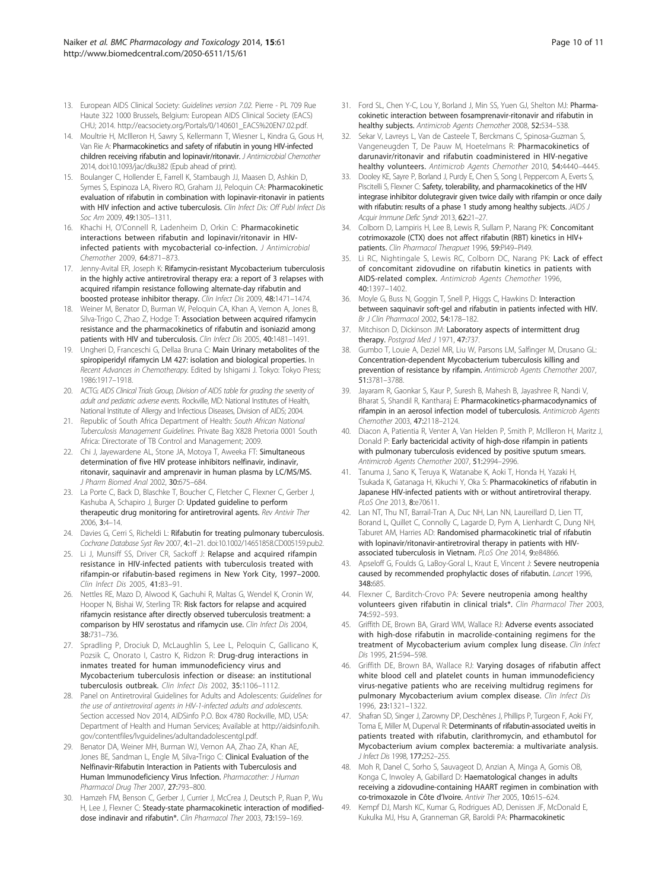- <span id="page-9-0"></span>13. European AIDS Clinical Society: Guidelines version 7.02. Pierre - PL 709 Rue Haute 322 1000 Brussels, Belgium: European AIDS Clinical Society (EACS) CHU; 2014. [http://eacsociety.org/Portals/0/140601\\_EACS%20EN7.02.pdf.](http://eacsociety.org/Portals/0/140601_EACS%20EN7.02.pdf)
- 14. Moultrie H, McIlleron H, Sawry S, Kellermann T, Wiesner L, Kindra G, Gous H, Van Rie A: Pharmacokinetics and safety of rifabutin in young HIV-infected children receiving rifabutin and lopinavir/ritonavir. J Antimicrobial Chemother 2014, doi:10.1093/jac/dku382 (Epub ahead of print).
- 15. Boulanger C, Hollender E, Farrell K, Stambaugh JJ, Maasen D, Ashkin D, Symes S, Espinoza LA, Rivero RO, Graham JJ, Peloquin CA: Pharmacokinetic evaluation of rifabutin in combination with lopinavir-ritonavir in patients with HIV infection and active tuberculosis. Clin Infect Dis: Off Publ Infect Dis Soc Am 2009, 49:1305–1311.
- 16. Khachi H, O'Connell R, Ladenheim D, Orkin C: Pharmacokinetic interactions between rifabutin and lopinavir/ritonavir in HIVinfected patients with mycobacterial co-infection. J Antimicrobial Chemother 2009, 64:871–873.
- 17. Jenny-Avital ER, Joseph K: Rifamycin-resistant Mycobacterium tuberculosis in the highly active antiretroviral therapy era: a report of 3 relapses with acquired rifampin resistance following alternate-day rifabutin and boosted protease inhibitor therapy. Clin Infect Dis 2009, 48:1471–1474.
- 18. Weiner M, Benator D, Burman W, Peloquin CA, Khan A, Vernon A, Jones B, Silva-Trigo C, Zhao Z, Hodge T: Association between acquired rifamycin resistance and the pharmacokinetics of rifabutin and isoniazid among patients with HIV and tuberculosis. Clin Infect Dis 2005, 40:1481-1491.
- 19. Ungheri D, Franceschi G, Dellaa Bruna C: Main Urinary metabolites of the spiropiperidyl rifamycin LM 427: isolation and biological properties. In Recent Advances in Chemotherapy. Edited by Ishigami J. Tokyo: Tokyo Press; 1986:1917–1918.
- 20. ACTG: AIDS Clinical Trials Group, Division of AIDS table for grading the severity of adult and pediatric adverse events. Rockville, MD: National Institutes of Health, National Institute of Allergy and Infectious Diseases, Division of AIDS; 2004.
- 21. Republic of South Africa Department of Health: South African National Tuberculosis Management Guidelines. Private Bag X828 Pretoria 0001 South Africa: Directorate of TB Control and Management; 2009.
- 22. Chi J, Jayewardene AL, Stone JA, Motoya T, Aweeka FT: Simultaneous determination of five HIV protease inhibitors nelfinavir, indinavir, ritonavir, saquinavir and amprenavir in human plasma by LC/MS/MS. J Pharm Biomed Anal 2002, 30:675–684.
- 23. La Porte C, Back D, Blaschke T, Boucher C, Fletcher C, Flexner C, Gerber J, Kashuba A, Schapiro J, Burger D: Updated guideline to perform therapeutic drug monitoring for antiretroviral agents. Rev Antivir Ther 2006, 3:4–14.
- 24. Davies G, Cerri S, Richeldi L: Rifabutin for treating pulmonary tuberculosis. Cochrane Database Syst Rev 2007, 4:1–21. doi:10.1002/14651858.CD005159.pub2.
- 25. Li J, Munsiff SS, Driver CR, Sackoff J: Relapse and acquired rifampin resistance in HIV-infected patients with tuberculosis treated with rifampin-or rifabutin-based regimens in New York City, 1997–2000. Clin Infect Dis 2005, 41:83–91.
- 26. Nettles RE, Mazo D, Alwood K, Gachuhi R, Maltas G, Wendel K, Cronin W, Hooper N, Bishai W, Sterling TR: Risk factors for relapse and acquired rifamycin resistance after directly observed tuberculosis treatment: a comparison by HIV serostatus and rifamycin use. Clin Infect Dis 2004, 38:731–736.
- 27. Spradling P, Drociuk D, McLaughlin S, Lee L, Peloquin C, Gallicano K, Pozsik C, Onorato I, Castro K, Ridzon R: Drug-drug interactions in inmates treated for human immunodeficiency virus and Mycobacterium tuberculosis infection or disease: an institutional tuberculosis outbreak. Clin Infect Dis 2002, 35:1106–1112.
- 28. Panel on Antiretroviral Guidelines for Adults and Adolescents: Guidelines for the use of antiretroviral agents in HIV-1-infected adults and adolescents. Section accessed Nov 2014, AIDSinfo P.O. Box 4780 Rockville, MD, USA: Department of Health and Human Services; Available at [http://aidsinfo.nih.](http://aidsinfo.nih.gov/contentfiles/lvguidelines/adultandadolescentgl.pdf) [gov/contentfiles/lvguidelines/adultandadolescentgl.pdf.](http://aidsinfo.nih.gov/contentfiles/lvguidelines/adultandadolescentgl.pdf)
- 29. Benator DA, Weiner MH, Burman WJ, Vernon AA, Zhao ZA, Khan AE, Jones BE, Sandman L, Engle M, Silva-Trigo C: Clinical Evaluation of the Nelfinavir‐Rifabutin Interaction in Patients with Tuberculosis and Human Immunodeficiency Virus Infection. Pharmacother: J Human Pharmacol Drug Ther 2007, 27:793–800.
- 30. Hamzeh FM, Benson C, Gerber J, Currier J, McCrea J, Deutsch P, Ruan P, Wu H, Lee J, Flexner C: Steady-state pharmacokinetic interaction of modifieddose indinavir and rifabutin\*. Clin Pharmacol Ther 2003, 73:159-169.
- 31. Ford SL, Chen Y-C, Lou Y, Borland J, Min SS, Yuen GJ, Shelton MJ: Pharmacokinetic interaction between fosamprenavir-ritonavir and rifabutin in healthy subjects. Antimicrob Agents Chemother 2008, 52:534–538.
- 32. Sekar V, Lavreys L, Van de Casteele T, Berckmans C, Spinosa-Guzman S, Vangeneugden T, De Pauw M, Hoetelmans R: Pharmacokinetics of darunavir/ritonavir and rifabutin coadministered in HIV-negative healthy volunteers. Antimicrob Agents Chemother 2010, 54:4440-4445.
- 33. Dooley KE, Sayre P, Borland J, Purdy E, Chen S, Song I, Peppercorn A, Everts S, Piscitelli S, Flexner C: Safety, tolerability, and pharmacokinetics of the HIV integrase inhibitor dolutegravir given twice daily with rifampin or once daily with rifabutin: results of a phase 1 study among healthy subjects. JAIDS J Acquir Immune Defic Syndr 2013, 62:21–27.
- 34. Colborn D, Lampiris H, Lee B, Lewis R, Sullam P, Narang PK: Concomitant cotrimoxazole (CTX) does not affect rifabutin (RBT) kinetics in HIV+ patients. Clin Pharmacol Therapuet 1996, 59:PI49-PI49.
- 35. Li RC, Nightingale S, Lewis RC, Colborn DC, Narang PK: Lack of effect of concomitant zidovudine on rifabutin kinetics in patients with AIDS-related complex. Antimicrob Agents Chemother 1996, 40:1397–1402.
- 36. Moyle G, Buss N, Goggin T, Snell P, Higgs C, Hawkins D: Interaction between saquinavir soft‐gel and rifabutin in patients infected with HIV. Br J Clin Pharmacol 2002, 54:178–182.
- 37. Mitchison D, Dickinson JM: Laboratory aspects of intermittent drug therapy. Postgrad Med J 1971, 47:737.
- Gumbo T, Louie A, Deziel MR, Liu W, Parsons LM, Salfinger M, Drusano GL: Concentration-dependent Mycobacterium tuberculosis killing and prevention of resistance by rifampin. Antimicrob Agents Chemother 2007, 51:3781–3788.
- 39. Jayaram R, Gaonkar S, Kaur P, Suresh B, Mahesh B, Jayashree R, Nandi V, Bharat S, Shandil R, Kantharaj E: Pharmacokinetics-pharmacodynamics of rifampin in an aerosol infection model of tuberculosis. Antimicrob Agents Chemother 2003, 47:2118–2124.
- 40. Diacon A, Patientia R, Venter A, Van Helden P, Smith P, McIlleron H, Maritz J, Donald P: Early bactericidal activity of high-dose rifampin in patients with pulmonary tuberculosis evidenced by positive sputum smears. Antimicrob Agents Chemother 2007, 51:2994–2996.
- 41. Tanuma J, Sano K, Teruya K, Watanabe K, Aoki T, Honda H, Yazaki H, Tsukada K, Gatanaga H, Kikuchi Y, Oka S: Pharmacokinetics of rifabutin in Japanese HIV-infected patients with or without antiretroviral therapy. PLoS One 2013, 8:e70611.
- 42. Lan NT, Thu NT, Barrail-Tran A, Duc NH, Lan NN, Laureillard D, Lien TT, Borand L, Quillet C, Connolly C, Lagarde D, Pym A, Lienhardt C, Dung NH, Taburet AM, Harries AD: Randomised pharmacokinetic trial of rifabutin with lopinavir/ritonavir-antiretroviral therapy in patients with HIVassociated tuberculosis in Vietnam. PLoS One 2014, 9:e84866.
- 43. Apseloff G, Foulds G, LaBoy-Goral L, Kraut E, Vincent J: Severe neutropenia caused by recommended prophylactic doses of rifabutin. Lancet 1996, 348:685.
- 44. Flexner C, Barditch-Crovo PA: Severe neutropenia among healthy volunteers given rifabutin in clinical trials\*. Clin Pharmacol Ther 2003, 74:592–593.
- 45. Griffith DE, Brown BA, Girard WM, Wallace RJ: Adverse events associated with high-dose rifabutin in macrolide-containing regimens for the treatment of Mycobacterium avium complex lung disease. Clin Infect Dis 1995, 21:594–598.
- 46. Griffith DE, Brown BA, Wallace RJ: Varying dosages of rifabutin affect white blood cell and platelet counts in human immunodeficiency virus-negative patients who are receiving multidrug regimens for pulmonary Mycobacterium avium complex disease. Clin Infect Dis 1996, 23:1321–1322.
- 47. Shafran SD, Singer J, Zarowny DP, Deschênes J, Phillips P, Turgeon F, Aoki FY, Toma E, Miller M, Duperval R: Determinants of rifabutin-associated uveitis in patients treated with rifabutin, clarithromycin, and ethambutol for Mycobacterium avium complex bacteremia: a multivariate analysis. J Infect Dis 1998, 177:252–255.
- 48. Moh R, Danel C, Sorho S, Sauvageot D, Anzian A, Minga A, Gomis OB, Konga C, Inwoley A, Gabillard D: Haematological changes in adults receiving a zidovudine-containing HAART regimen in combination with co-trimoxazole in Côte d'Ivoire. Antivir Ther 2005, 10:615–624.
- 49. Kempf DJ, Marsh KC, Kumar G, Rodrigues AD, Denissen JF, McDonald E, Kukulka MJ, Hsu A, Granneman GR, Baroldi PA: Pharmacokinetic